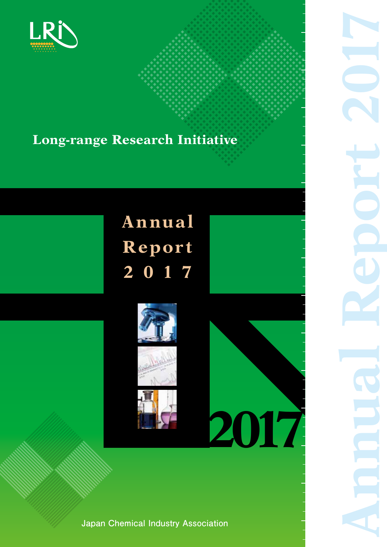

## **Long-range Research Initiative**

# **Annual Repor t 2 0 1 7**





**Japan Chemical Industry Association**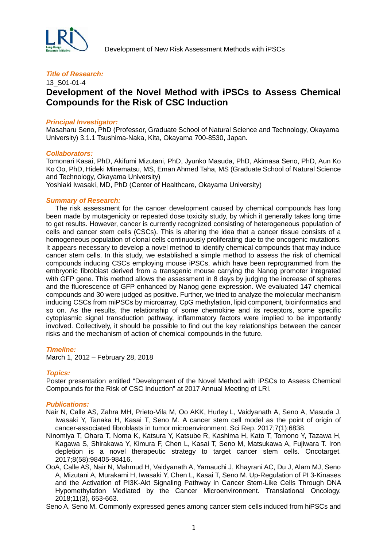

## 13\_S01-01-4 **Development of the Novel Method with iPSCs to Assess Chemical Compounds for the Risk of CSC Induction**

#### *Principal Investigator:*

Masaharu Seno, PhD (Professor, Graduate School of Natural Science and Technology, Okayama University) 3.1.1 Tsushima-Naka, Kita, Okayama 700-8530, Japan.

#### *Collaborators:*

Tomonari Kasai, PhD, Akifumi Mizutani, PhD, Jyunko Masuda, PhD, Akimasa Seno, PhD, Aun Ko Ko Oo, PhD, Hideki Minematsu, MS, Eman Ahmed Taha, MS (Graduate School of Natural Science and Technology, Okayama University)

Yoshiaki Iwasaki, MD, PhD (Center of Healthcare, Okayama University)

#### *Summary of Research:*

The risk assessment for the cancer development caused by chemical compounds has long been made by mutagenicity or repeated dose toxicity study, by which it generally takes long time to get results. However, cancer is currently recognized consisting of heterogeneous population of cells and cancer stem cells (CSCs). This is altering the idea that a cancer tissue consists of a homogeneous population of clonal cells continuously proliferating due to the oncogenic mutations. It appears necessary to develop a novel method to identify chemical compounds that may induce cancer stem cells. In this study, we established a simple method to assess the risk of chemical compounds inducing CSCs employing mouse iPSCs, which have been reprogrammed from the embryonic fibroblast derived from a transgenic mouse carrying the Nanog promoter integrated with GFP gene. This method allows the assessment in 8 days by judging the increase of spheres and the fluorescence of GFP enhanced by Nanog gene expression. We evaluated 147 chemical compounds and 30 were judged as positive. Further, we tried to analyze the molecular mechanism inducing CSCs from miPSCs by microarray, CpG methylation, lipid component, bioinformatics and so on. As the results, the relationship of some chemokine and its receptors, some specific cytoplasmic signal transduction pathway, inflammatory factors were implied to be importantly involved. Collectively, it should be possible to find out the key relationships between the cancer risks and the mechanism of action of chemical compounds in the future.

#### *Timeline:*

March 1, 2012 – February 28, 2018

#### *Topics:*

Poster presentation entitled "Development of the Novel Method with iPSCs to Assess Chemical Compounds for the Risk of CSC Induction" at 2017 Annual Meeting of LRI.

#### *Publications:*

- Nair N, Calle AS, Zahra MH, Prieto-Vila M, Oo AKK, Hurley L, Vaidyanath A, Seno A, Masuda J, Iwasaki Y, Tanaka H, Kasai T, Seno M. A cancer stem cell model as the point of origin of cancer-associated fibroblasts in tumor microenvironment. Sci Rep. 2017;7(1):6838.
- Ninomiya T, Ohara T, Noma K, Katsura Y, Katsube R, Kashima H, Kato T, Tomono Y, Tazawa H, Kagawa S, Shirakawa Y, Kimura F, Chen L, Kasai T, Seno M, Matsukawa A, Fujiwara T. Iron depletion is a novel therapeutic strategy to target cancer stem cells. Oncotarget. 2017;8(58):98405-98416.
- OoA, Calle AS, Nair N, Mahmud H, Vaidyanath A, Yamauchi J, Khayrani AC, Du J, Alam MJ, Seno A, Mizutani A, Murakami H, Iwasaki Y, Chen L, Kasai T, Seno M. Up-Regulation of PI 3-Kinases and the Activation of PI3K-Akt Signaling Pathway in Cancer Stem-Like Cells Through DNA Hypomethylation Mediated by the Cancer Microenvironment. Translational Oncology. 2018;11(3), 653-663.

Seno A, Seno M. Commonly expressed genes among cancer stem cells induced from hiPSCs and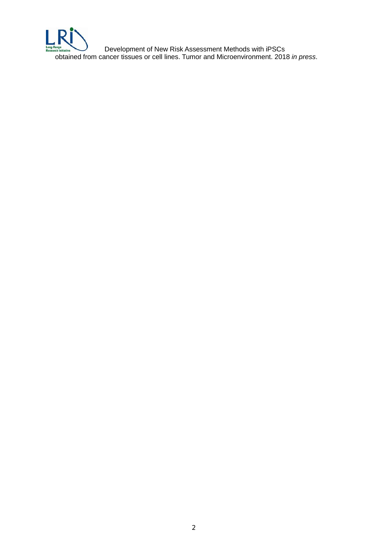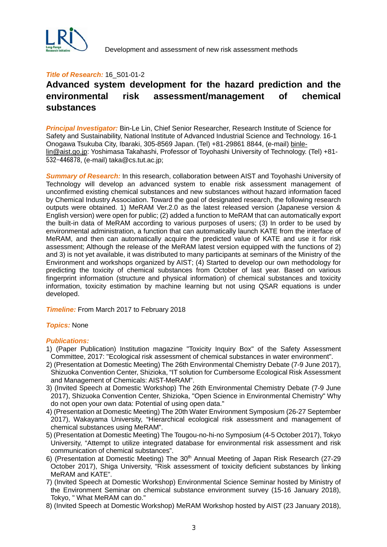

#### **Title of Research: 16 S01-01-2**

## **Advanced system development for the hazard prediction and the environmental risk assessment/management of chemical substances**

*Principal Investigator:* Bin-Le Lin, Chief Senior Researcher, Research Institute of Science for Safety and Sustainability, National Institute of Advanced Industrial Science and Technology. 16-1 Onogawa Tsukuba City, Ibaraki, 305-8569 Japan. (Tel) +81-29861 8844, (e-mail) [binle](mailto:binle-lin@aist.go.jp)[lin@aist.go.jp:](mailto:binle-lin@aist.go.jp) Yoshimasa Takahashi, Professor of Toyohashi University of Technology. (Tel) +81- 532-446878, (e-mail) taka@cs.tut.ac.jp;

*Summary of Research:* In this research, collaboration between AIST and Toyohashi University of Technology will develop an advanced system to enable risk assessment management of unconfirmed existing chemical substances and new substances without hazard information faced by Chemical Industry Association. Toward the goal of designated research, the following research outputs were obtained. 1) MeRAM Ver.2.0 as the latest released version (Japanese version & English version) were open for public; (2) added a function to MeRAM that can automatically export the built-in data of MeRAM according to various purposes of users; (3) In order to be used by environmental administration, a function that can automatically launch KATE from the interface of MeRAM, and then can automatically acquire the predicted value of KATE and use it for risk assessment; Although the release of the MeRAM latest version equipped with the functions of 2) and 3) is not yet available, it was distributed to many participants at seminars of the Ministry of the Environment and workshops organized by AIST; (4) Started to develop our own methodology for predicting the toxicity of chemical substances from October of last year. Based on various fingerprint information (structure and physical information) of chemical substances and toxicity information, toxicity estimation by machine learning but not using QSAR equations is under developed.

*Timeline:* From March 2017 to February 2018

#### *Topics:* None

- 1) (Paper Publication) Institution magazine "Toxicity Inquiry Box" of the Safety Assessment Committee, 2017: "Ecological risk assessment of chemical substances in water environment".
- 2) (Presentation at Domestic Meeting) The 26th Environmental Chemistry Debate (7-9 June 2017), Shizuoka Convention Center, Shizioka, "IT solution for Cumbersome Ecological Risk Assessment and Management of Chemicals: AIST-MeRAM".
- 3) (Invited Speech at Domestic Workshop) The 26th Environmental Chemistry Debate (7-9 June 2017), Shizuoka Convention Center, Shizioka, "Open Science in Environmental Chemistry" Why do not open your own data: Potential of using open data."
- 4) (Presentation at Domestic Meeting) The 20th Water Environment Symposium (26-27 September 2017), Wakayama University, "Hierarchical ecological risk assessment and management of chemical substances using MeRAM".
- 5) (Presentation at Domestic Meeting) The Tougou-no-hi-no Symposium (4-5 October 2017), Tokyo University, "Attempt to utilize integrated database for environmental risk assessment and risk communication of chemical substances".
- 6) (Presentation at Domestic Meeting) The 30<sup>th</sup> Annual Meeting of Japan Risk Research (27-29 October 2017), Shiga University, "Risk assessment of toxicity deficient substances by linking MeRAM and KATE".
- 7) (Invited Speech at Domestic Workshop) Environmental Science Seminar hosted by Ministry of the Environment Seminar on chemical substance environment survey (15-16 January 2018), Tokyo, " What MeRAM can do."
- 8) (Invited Speech at Domestic Workshop) MeRAM Workshop hosted by AIST (23 January 2018),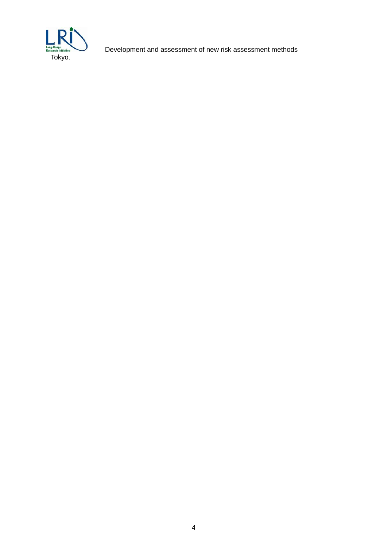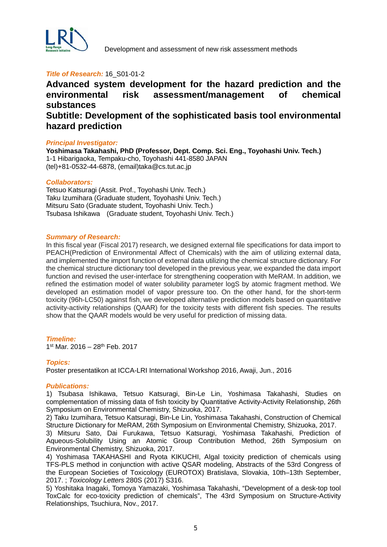

#### **Title of Research: 16 S01-01-2**

## **Advanced system development for the hazard prediction and the environmental risk assessment/management of chemical substances Subtitle: Development of the sophisticated basis tool environmental hazard prediction**

#### *Principal Investigator:*

**Yoshimasa Takahashi, PhD (Professor, Dept. Comp. Sci. Eng., Toyohashi Univ. Tech.)** 1-1 Hibarigaoka, Tempaku-cho, Toyohashi 441-8580 JAPAN (tel)+81-0532-44-6878, (email)taka@cs.tut.ac.jp

#### *Collaborators:*

Tetsuo Katsuragi (Assit. Prof., Toyohashi Univ. Tech.) Taku Izumihara (Graduate student, Toyohashi Univ. Tech.) Mitsuru Sato (Graduate student, Toyohashi Univ. Tech.) Tsubasa Ishikawa (Graduate student, Toyohashi Univ. Tech.)

#### *Summary of Research:*

In this fiscal year (Fiscal 2017) research, we designed external file specifications for data import to PEACH(Prediction of Environmental Affect of Chemicals) with the aim of utilizing external data, and implemented the import function of external data utilizing the chemical structure dictionary. For the chemical structure dictionary tool developed in the previous year, we expanded the data import function and revised the user-interface for strengthening cooperation with MeRAM. In addition, we refined the estimation model of water solubility parameter logS by atomic fragment method. We developed an estimation model of vapor pressure too. On the other hand, for the short-term toxicity (96h-LC50) against fish, we developed alternative prediction models based on quantitative activity-activity relationships (QAAR) for the toxicity tests with different fish species. The results show that the QAAR models would be very useful for prediction of missing data.

#### *Timeline:*

1st Mar. 2016 – 28th Feb. 2017

#### *Topics:*

Poster presentatikon at ICCA-LRI International Workshop 2016, Awaji, Jun., 2016

#### *Publications:*

1) Tsubasa Ishikawa, Tetsuo Katsuragi, Bin-Le Lin, Yoshimasa Takahashi, Studies on complementation of missing data of fish toxicity by Quantitative Activity-Activity Relationship, 26th Symposium on Environmental Chemistry, Shizuoka, 2017.

2) Taku Izumihara, Tetsuo Katsuragi, Bin-Le Lin, Yoshimasa Takahashi, Construction of Chemical Structure Dictionary for MeRAM, 26th Symposium on Environmental Chemistry, Shizuoka, 2017.

3) Mitsuru Sato, Dai Furukawa, Tetsuo Katsuragi, Yoshimasa Takahashi, Prediction of Aqueous-Solubility Using an Atomic Group Contribution Method, 26th Symposium on Environmental Chemistry, Shizuoka, 2017.

4) Yoshimasa TAKAHASHI and Ryota KIKUCHI, Algal toxicity prediction of chemicals using TFS-PLS method in conjunction with active QSAR modeling, Abstracts of the 53rd Congress of the European Societies of Toxicology (EUROTOX) Bratislava, Slovakia, 10th–13th September, 2017. ; *Toxicology Letters* 280S (2017) S316.

5) Yoshitaka Inagaki, Tomoya Yamazaki, Yoshimasa Takahashi, "Development of a desk-top tool ToxCalc for eco-toxicity prediction of chemicals", The 43rd Symposium on Structure-Activity Relationships, Tsuchiura, Nov., 2017.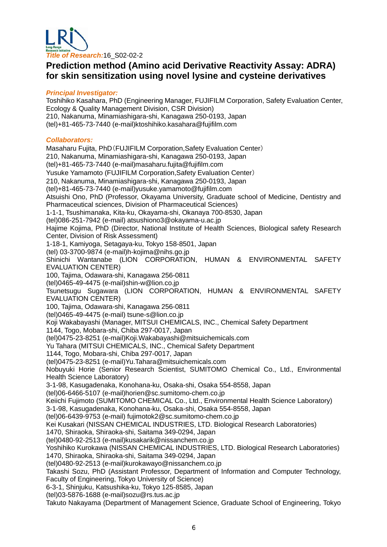

## **Prediction method (Amino acid Derivative Reactivity Assay: ADRA) for skin sensitization using novel lysine and cysteine derivatives**

#### *Principal Investigator:*

Toshihiko Kasahara, PhD (Engineering Manager, FUJIFILM Corporation, Safety Evaluation Center, Ecology & Quality Management Division, CSR Division) 210, Nakanuma, Minamiashigara-shi, Kanagawa 250-0193, Japan (tel)+81-465-73-7440 (e-mail)ktoshihiko.kasahara@fujifilm.com *Collaborators:*  Masaharu Fujita, PhD(FUJIFILM Corporation,Safety Evaluation Center) 210, Nakanuma, Minamiashigara-shi, Kanagawa 250-0193, Japan (tel)+81-465-73-7440 (e-mail[\)masaharu.fujita@fujifilm.com](mailto:masaharu.fujita@fujifilm.com) Yusuke Yamamoto (FUJIFILM Corporation,Safety Evaluation Center) 210, Nakanuma, Minamiashigara-shi, Kanagawa 250-0193, Japan (tel)+81-465-73-7440 (e-mail[\)yusuke.yamamoto@fujifilm.com](mailto:yusuke.yamamoto@fujifilm.com) Atsuishi Ono, PhD (Professor, Okayama University, Graduate school of Medicine, Dentistry and Pharmaceutical sciences, Division of Pharmaceutical Sciences) 1-1-1, Tsushimanaka, Kita-ku, Okayama-shi, Okanaya 700-8530, Japan (tel)086-251-7942 (e-mail) atsushiono3@okayama-u.ac.jp Hajime Kojima, PhD (Director, National Institute of Health Sciences, Biological safety Research Center, Division of Risk Assessment) 1-18-1, Kamiyoga, Setagaya-ku, Tokyo 158-8501, Japan (tel) 03-3700-9874 (e-mail)h-kojima@nihs.go.jp Shinichi Wantanabe (LION CORPORATION, HUMAN & ENVIRONMENTAL SAFETY EVALUATION CENTER) 100, Tajima, Odawara-shi, Kanagawa 256-0811 (tel)0465-49-4475 (e-mail[\)shin-w@lion.co.jp](mailto:shin-w@lion.co.jp) Tsunetsugu Sugawara (LION CORPORATION, HUMAN & ENVIRONMENTAL SAFETY EVALUATION CENTER) 100, Tajima, Odawara-shi, Kanagawa 256-0811 (tel)0465-49-4475 (e-mail) [tsune-s@lion.co.jp](mailto:tsune-s@lion.co.jp) Koji Wakabayashi (Manager, MITSUI CHEMICALS, INC., Chemical Safety Department 1144, Togo, Mobara-shi, Chiba 297-0017, Japan (tel)0475-23-8251 (e-mail[\)Koji.Wakabayashi@mitsuichemicals.com](mailto:Koji.Wakabayashi@mitsuichemicals.com) Yu Tahara (MITSUI CHEMICALS, INC., Chemical Safety Department 1144, Togo, Mobara-shi, Chiba 297-0017, Japan (tel)0475-23-8251 (e-mail[\)Yu.Tahara@mitsuichemicals.com](mailto:Yu.Tahara@mitsuichemicals.com) Nobuyuki Horie (Senior Research Scientist, SUMITOMO Chemical Co., Ltd., Environmental Health Science Laboratory) 3-1-98, Kasugadenaka, Konohana-ku, Osaka-shi, Osaka 554-8558, Japan (tel)06-6466-5107 (e-mail[\)horien@sc.sumitomo-chem.co.jp](mailto:horien@sc.sumitomo-chem.co.jp) Keiichi Fujimoto (SUMITOMO CHEMICAL Co., Ltd., Environmental Health Science Laboratory) 3-1-98, Kasugadenaka, Konohana-ku, Osaka-shi, Osaka 554-8558, Japan (tel)06-6439-9753 (e-mail) [fujimotok2@sc.sumitomo-chem.co.jp](mailto:fujimotok2@sc.sumitomo-chem.co.jp) Kei Kusakari (NISSAN CHEMICAL INDUSTRIES, LTD. Biological Research Laboratories) 1470, Shiraoka, Shiraoka-shi, Saitama 349-0294, Japan (tel)0480-92-2513 (e-mail[\)kusakarik@nissanchem.co.jp](mailto:kusakarik@nissanchem.co.jp) Yoshihiko Kurokawa (NISSAN CHEMICAL INDUSTRIES, LTD. Biological Research Laboratories) 1470, Shiraoka, Shiraoka-shi, Saitama 349-0294, Japan (tel)0480-92-2513 (e-mail[\)kurokawayo@nissanchem.co.jp](mailto:kurokawayo@nissanchem.co.jp) Takashi Sozu, PhD (Assistant Professor, Department of Information and Computer Technology, Faculty of Engineering, Tokyo University of Science) 6-3-1, Shinjuku, Katsushika-ku, Tokyo 125-8585, Japan (tel)03-5876-1688 (e-mail[\)sozu@rs.tus.ac.jp](mailto:sozu@rs.tus.ac.jp) Takuto Nakayama (Department of Management Science, Graduate School of Engineering, Tokyo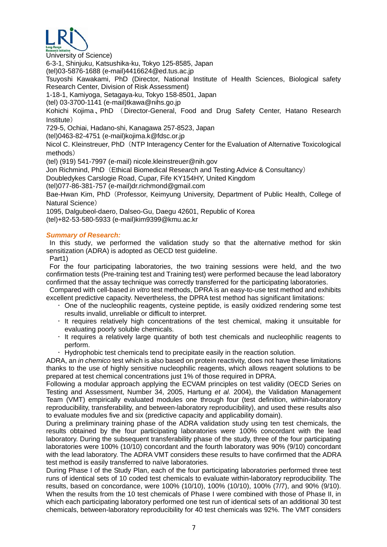

University of Science)

6-3-1, Shinjuku, Katsushika-ku, Tokyo 125-8585, Japan

(tel)03-5876-1688 (e-mail)4416624@ed.tus.ac.jp

Tsuyoshi Kawakami, PhD (Director, National Institute of Health Sciences, Biological safety Research Center, Division of Risk Assessment)

1-18-1, Kamiyoga, Setagaya-ku, Tokyo 158-8501, Japan

(tel) 03-3700-1141 (e-mail[\)tkawa@nihs.go.jp](mailto:tkawa@nihs.go.jp)

Kohichi Kojima、PhD (Director-General, Food and Drug Safety Center, Hatano Research Institute)

729-5, Ochiai, Hadano-shi, Kanagawa 257-8523, Japan

(tel)0463-82-4751 (e-mail[\)kojima.k@fdsc.or.jp](mailto:kojima.k@fdsc.or.jp)

Nicol C. Kleinstreuer, PhD (NTP Interagency Center for the Evaluation of Alternative Toxicological methods)

(tel) (919) 541-7997 (e-mail) [nicole.kleinstreuer@nih.gov](mailto:nicole.kleinstreuer@nih.gov)

Jon Richmind, PhD (Ethical Biomedical Research and Testing Advice & Consultancy)

Doubledykes Carslogie Road, Cupar, Fife KY154HY, United Kingdom

(tel)077-86-381-757 (e-mail[\)dr.richmond@gmail.com](mailto:dr.richmond@gmail.com)

Bae-Hwan Kim, PhD (Professor, Keimyung University, Department of Public Health, College of Natural Science)

1095, Dalgubeol-daero, Dalseo-Gu, Daegu 42601, Republic of Korea

(tel)+82-53-580-5933 (e-mail[\)kim9399@kmu.ac.kr](mailto:kim9399@kmu.ac.kr)

#### *Summary of Research:*

In this study, we performed the validation study so that the alternative method for skin sensitization (ADRA) is adopted as OECD test guideline.

Part1)

For the four participating laboratories, the two training sessions were held, and the two confirmation tests (Pre-training test and Training test) were performed because the lead laboratory confirmed that the assay technique was correctly transferred for the participating laboratories.

Compared with cell-based *in vitro* test methods, DPRA is an easy-to-use test method and exhibits excellent predictive capacity. Nevertheless, the DPRA test method has significant limitations:

- $\cdot$  One of the nucleophilic reagents, cysteine peptide, is easily oxidized rendering some test results invalid, unreliable or difficult to interpret.
- $\cdot$  It requires relatively high concentrations of the test chemical, making it unsuitable for evaluating poorly soluble chemicals.
- It requires a relatively large quantity of both test chemicals and nucleophilic reagents to perform.
- $\cdot$  Hydrophobic test chemicals tend to precipitate easily in the reaction solution.

ADRA, an *in chemico* test which is also based on protein reactivity, does not have these limitations thanks to the use of highly sensitive nucleophilic reagents, which allows reagent solutions to be prepared at test chemical concentrations just 1% of those required in DPRA.

Following a modular approach applying the ECVAM principles on test validity (OECD Series on Testing and Assessment, Number 34, 2005, Hartung *et al.* 2004), the Validation Management Team (VMT) empirically evaluated modules one through four (test definition, within-laboratory reproducibility, transferability, and between-laboratory reproducibility), and used these results also to evaluate modules five and six (predictive capacity and applicability domain).

During a preliminary training phase of the ADRA validation study using ten test chemicals, the results obtained by the four participating laboratories were 100% concordant with the lead laboratory. During the subsequent transferability phase of the study, three of the four participating laboratories were 100% (10/10) concordant and the fourth laboratory was 90% (9/10) concordant with the lead laboratory. The ADRA VMT considers these results to have confirmed that the ADRA test method is easily transferred to naïve laboratories.

During Phase I of the Study Plan, each of the four participating laboratories performed three test runs of identical sets of 10 coded test chemicals to evaluate within-laboratory reproducibility. The results, based on concordance, were 100% (10/10), 100% (10/10), 100% (7/7), and 90% (9/10). When the results from the 10 test chemicals of Phase I were combined with those of Phase II, in which each participating laboratory performed one test run of identical sets of an additional 30 test chemicals, between-laboratory reproducibility for 40 test chemicals was 92%. The VMT considers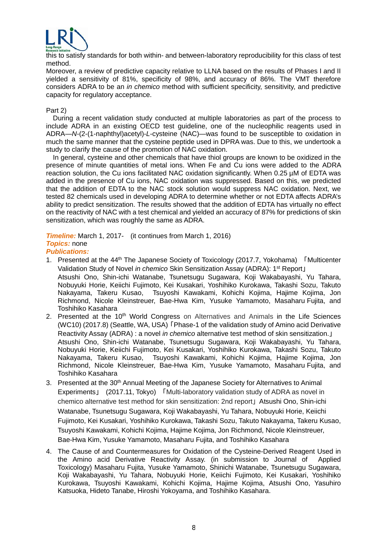

this to satisfy standards for both within- and between-laboratory reproducibility for this class of test method.

Moreover, a review of predictive capacity relative to LLNA based on the results of Phases I and II yielded a sensitivity of 81%, specificity of 98%, and accuracy of 86%. The VMT therefore considers ADRA to be an *in chemico* method with sufficient specificity, sensitivity, and predictive capacity for regulatory acceptance.

#### Part 2)

During a recent validation study conducted at multiple laboratories as part of the process to include ADRA in an existing OECD test guideline, one of the nucleophilic reagents used in ADRA—*N*-(2-(1-naphthyl)acetyl)-*L*-cysteine (NAC)—was found to be susceptible to oxidation in much the same manner that the cysteine peptide used in DPRA was. Due to this, we undertook a study to clarify the cause of the promotion of NAC oxidation.

In general, cysteine and other chemicals that have thiol groups are known to be oxidized in the presence of minute quantities of metal ions. When Fe and Cu ions were added to the ADRA reaction solution, the Cu ions facilitated NAC oxidation significantly. When 0.25 µM of EDTA was added in the presence of Cu ions, NAC oxidation was suppressed. Based on this, we predicted that the addition of EDTA to the NAC stock solution would suppress NAC oxidation. Next, we tested 82 chemicals used in developing ADRA to determine whether or not EDTA affects ADRA's ability to predict sensitization. The results showed that the addition of EDTA has virtually no effect on the reactivity of NAC with a test chemical and yielded an accuracy of 87% for predictions of skin sensitization, which was roughly the same as ADRA.

**Timeline:** March 1, 2017- (it continues from March 1, 2016) *Topics:* none *Publications:* 

- 1. Presented at the 44<sup>th</sup> The Japanese Society of Toxicology (2017.7, Yokohama) 「Multicenter Validation Study of Novel *in chemico* Skin Sensitization Assay (ADRA): 1<sup>st</sup> Report」 Atsushi Ono, Shin-ichi Watanabe, Tsunetsugu Sugawara, Koji Wakabayashi, Yu Tahara, Nobuyuki Horie, Keiichi Fujimoto, Kei Kusakari, Yoshihiko Kurokawa, Takashi Sozu, Takuto Nakayama, Takeru Kusao, Tsuyoshi Kawakami, Kohichi Kojima, Hajime Kojima, Jon Richmond, Nicole Kleinstreuer, Bae-Hwa Kim, Yusuke Yamamoto, Masaharu Fujita, and Toshihiko Kasahara
- 2. Presented at the 10<sup>th</sup> World Congress on Alternatives and Animals in the Life Sciences (WC10) (2017.8) (Seattle, WA, USA)「Phase-1 of the validation study of Amino acid Derivative Reactivity Assay (ADRA) : a novel *in chemico* alternative test method of skin sensitization.」 Atsushi Ono, Shin-ichi Watanabe, Tsunetsugu Sugawara, Koji Wakabayashi, Yu Tahara, Nobuyuki Horie, Keiichi Fujimoto, Kei Kusakari, Yoshihiko Kurokawa, Takashi Sozu, Takuto Nakayama, Takeru Kusao, Tsuyoshi Kawakami, Kohichi Kojima, Hajime Kojima, Jon Richmond, Nicole Kleinstreuer, Bae-Hwa Kim, Yusuke Yamamoto, Masaharu Fujita, and Toshihiko Kasahara
- 3. Presented at the 30<sup>th</sup> Annual Meeting of the Japanese Society for Alternatives to Animal Experiments」 (2017.11, Tokyo) 「Multi-laboratory validation study of ADRA as novel in chemico alternative test method for skin sensitization: 2nd report」Atsushi Ono, Shin-ichi Watanabe, Tsunetsugu Sugawara, Koji Wakabayashi, Yu Tahara, Nobuyuki Horie, Keiichi Fujimoto, Kei Kusakari, Yoshihiko Kurokawa, Takashi Sozu, Takuto Nakayama, Takeru Kusao, Tsuyoshi Kawakami, Kohichi Kojima, Hajime Kojima, Jon Richmond, Nicole Kleinstreuer, Bae-Hwa Kim, Yusuke Yamamoto, Masaharu Fujita, and Toshihiko Kasahara
- 4. The Cause of and Countermeasures for Oxidation of the Cysteine-Derived Reagent Used in the Amino acid Derivative Reactivity Assay. (in submission to Journal of Applied Toxicology) Masaharu Fujita, Yusuke Yamamoto, Shinichi Watanabe, Tsunetsugu Sugawara, Koji Wakabayashi, Yu Tahara, Nobuyuki Horie, Keiichi Fujimoto, Kei Kusakari, Yoshihiko Kurokawa, Tsuyoshi Kawakami, Kohichi Kojima, Hajime Kojima, Atsushi Ono, Yasuhiro Katsuoka, Hideto Tanabe, Hiroshi Yokoyama, and Toshihiko Kasahara.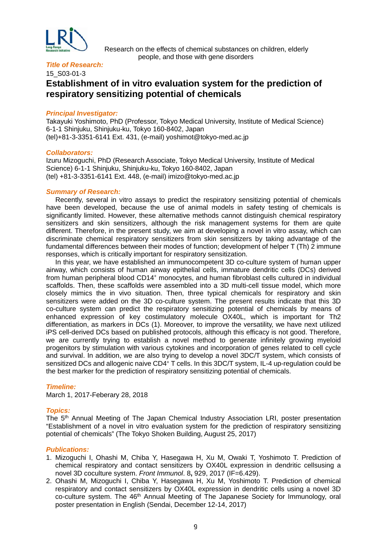

 Research on the effects of chemical substances on children, elderly people, and those with gene disorders

#### *Title of Research:*

15\_S03-01-3

## **Establishment of in vitro evaluation system for the prediction of respiratory sensitizing potential of chemicals**

#### *Principal Investigator:*

Takayuki Yoshimoto, PhD (Professor, Tokyo Medical University, Institute of Medical Science) 6-1-1 Shinjuku, Shinjuku-ku, Tokyo 160-8402, Japan (tel)+81-3-3351-6141 Ext. 431, (e-mail) yoshimot@tokyo-med.ac.jp

#### *Collaborators:*

Izuru Mizoguchi, PhD (Research Associate, Tokyo Medical University, Institute of Medical Science) 6-1-1 Shinjuku, Shinjuku-ku, Tokyo 160-8402, Japan (tel) +81-3-3351-6141 Ext. 448, (e-mail) imizo@tokyo-med.ac.jp

#### *Summary of Research:*

Recently, several in vitro assays to predict the respiratory sensitizing potential of chemicals have been developed, because the use of animal models in safety testing of chemicals is significantly limited. However, these alternative methods cannot distinguish chemical respiratory sensitizers and skin sensitizers, although the risk management systems for them are quite different. Therefore, in the present study, we aim at developing a novel in vitro assay, which can discriminate chemical respiratory sensitizers from skin sensitizers by taking advantage of the fundamental differences between their modes of function; development of helper T (Th) 2 immune responses, which is critically important for respiratory sensitization.

In this year, we have established an immunocompetent 3D co-culture system of human upper airway, which consists of human airway epithelial cells, immature dendritic cells (DCs) derived from human peripheral blood CD14+ monocytes, and human fibroblast cells cultured in individual scaffolds. Then, these scaffolds were assembled into a 3D multi-cell tissue model, which more closely mimics the in vivo situation. Then, three typical chemicals for respiratory and skin sensitizers were added on the 3D co-culture system. The present results indicate that this 3D co-culture system can predict the respiratory sensitizing potential of chemicals by means of enhanced expression of key costimulatory molecule OX40L, which is important for Th2 differentiation, as markers in DCs (1). Moreover, to improve the versatility, we have next utilized iPS cell-derived DCs based on published protocols, although this efficacy is not good. Therefore, we are currently trying to establish a novel method to generate infinitely growing myeloid progenitors by stimulation with various cytokines and incorporation of genes related to cell cycle and survival. In addition, we are also trying to develop a novel 3DC/T system, which consists of sensitized DCs and allogenic naive CD4+ T cells. In this 3DC/T system, IL-4 up-regulation could be the best marker for the prediction of respiratory sensitizing potential of chemicals.

#### *Timeline:*

March 1, 2017-Feberary 28, 2018

#### *Topics:*

The 5th Annual Meeting of The Japan Chemical Industry Association LRI, poster presentation "Establishment of a novel in vitro evaluation system for the prediction of respiratory sensitizing potential of chemicals" (The Tokyo Shoken Building, August 25, 2017)

- 1. Mizoguchi I, Ohashi M, Chiba Y, Hasegawa H, Xu M, Owaki T, Yoshimoto T. Prediction of chemical respiratory and contact sensitizers by OX40L expression in dendritic cellsusing a novel 3D coculture system. *Front Immunol*. 8**,** 929, 2017 (IF=6.429).
- 2. Ohashi M, Mizoguchi I, Chiba Y, Hasegawa H, Xu M, Yoshimoto T. Prediction of chemical respiratory and contact sensitizers by OX40L expression in dendritic cells using a novel 3D co-culture system. The 46<sup>th</sup> Annual Meeting of The Japanese Society for Immunology, oral poster presentation in English (Sendai, December 12-14, 2017)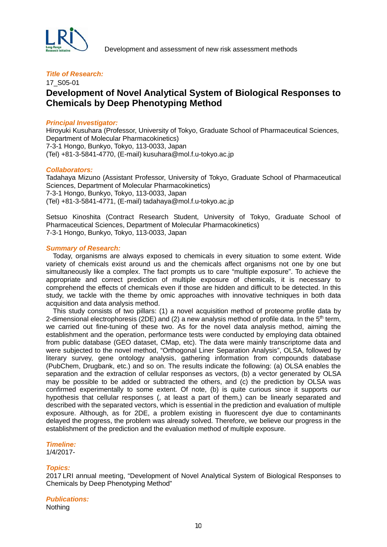

#### *Title of Research:*

## 17\_S05-01 **Development of Novel Analytical System of Biological Responses to Chemicals by Deep Phenotyping Method**

#### *Principal Investigator:*

Hiroyuki Kusuhara (Professor, University of Tokyo, Graduate School of Pharmaceutical Sciences, Department of Molecular Pharmacokinetics) 7-3-1 Hongo, Bunkyo, Tokyo, 113-0033, Japan (Tel) +81-3-5841-4770, (E-mail) kusuhara@mol.f.u-tokyo.ac.jp

#### *Collaborators:*

Tadahaya Mizuno (Assistant Professor, University of Tokyo, Graduate School of Pharmaceutical Sciences, Department of Molecular Pharmacokinetics) 7-3-1 Hongo, Bunkyo, Tokyo, 113-0033, Japan (Tel) +81-3-5841-4771, (E-mail) tadahaya@mol.f.u-tokyo.ac.jp

Setsuo Kinoshita (Contract Research Student, University of Tokyo, Graduate School of Pharmaceutical Sciences, Department of Molecular Pharmacokinetics) 7-3-1 Hongo, Bunkyo, Tokyo, 113-0033, Japan

#### *Summary of Research:*

 Today, organisms are always exposed to chemicals in every situation to some extent. Wide variety of chemicals exist around us and the chemicals affect organisms not one by one but simultaneously like a complex. The fact prompts us to care "multiple exposure". To achieve the appropriate and correct prediction of multiple exposure of chemicals, it is necessary to comprehend the effects of chemicals even if those are hidden and difficult to be detected. In this study, we tackle with the theme by omic approaches with innovative techniques in both data acquisition and data analysis method.

This study consists of two pillars: (1) a novel acquisition method of proteome profile data by 2-dimensional electrophoresis (2DE) and (2) a new analysis method of profile data. In the  $5<sup>th</sup>$  term, we carried out fine-tuning of these two. As for the novel data analysis method, aiming the establishment and the operation, performance tests were conducted by employing data obtained from public database (GEO dataset, CMap, etc). The data were mainly transcriptome data and were subjected to the novel method, "Orthogonal Liner Separation Analysis", OLSA, followed by literary survey, gene ontology analysis, gathering information from compounds database (PubChem, Drugbank, etc.) and so on. The results indicate the following: (a) OLSA enables the separation and the extraction of cellular responses as vectors, (b) a vector generated by OLSA may be possible to be added or subtracted the others, and (c) the prediction by OLSA was confirmed experimentally to some extent. Of note, (b) is quite curious since it supports our hypothesis that cellular responses (, at least a part of them,) can be linearly separated and described with the separated vectors, which is essential in the prediction and evaluation of multiple exposure. Although, as for 2DE, a problem existing in fluorescent dye due to contaminants delayed the progress, the problem was already solved. Therefore, we believe our progress in the establishment of the prediction and the evaluation method of multiple exposure.

#### *Timeline:*

1/4/2017-

#### *Topics:*

2017 LRI annual meeting, "Development of Novel Analytical System of Biological Responses to Chemicals by Deep Phenotyping Method"

#### *Publications:* Nothing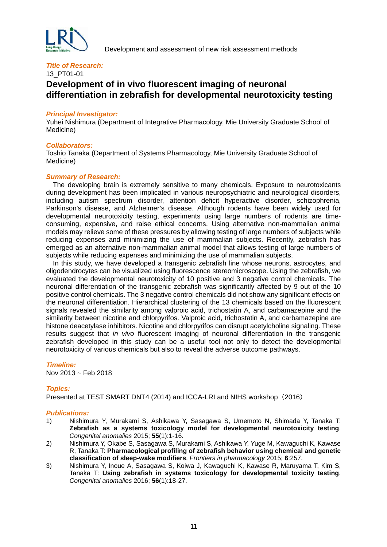

13\_PT01-01

## **Development of in vivo fluorescent imaging of neuronal differentiation in zebrafish for developmental neurotoxicity testing**

#### *Principal Investigator:*

Yuhei Nishimura (Department of Integrative Pharmacology, Mie University Graduate School of Medicine)

#### *Collaborators:*

Toshio Tanaka (Department of Systems Pharmacology, Mie University Graduate School of Medicine)

#### *Summary of Research:*

 The developing brain is extremely sensitive to many chemicals. Exposure to neurotoxicants during development has been implicated in various neuropsychiatric and neurological disorders, including autism spectrum disorder, attention deficit hyperactive disorder, schizophrenia, Parkinson's disease, and Alzheimer's disease. Although rodents have been widely used for developmental neurotoxicity testing, experiments using large numbers of rodents are timeconsuming, expensive, and raise ethical concerns. Using alternative non-mammalian animal models may relieve some of these pressures by allowing testing of large numbers of subjects while reducing expenses and minimizing the use of mammalian subjects. Recently, zebrafish has emerged as an alternative non-mammalian animal model that allows testing of large numbers of subjects while reducing expenses and minimizing the use of mammalian subjects.

In this study, we have developed a transgenic zebrafish line whose neurons, astrocytes, and oligodendrocytes can be visualized using fluorescence stereomicroscope. Using the zebrafish, we evaluated the developmental neurotoxicity of 10 positive and 3 negative control chemicals. The neuronal differentiation of the transgenic zebrafish was significantly affected by 9 out of the 10 positive control chemicals. The 3 negative control chemicals did not show any significant effects on the neuronal differentiation. Hierarchical clustering of the 13 chemicals based on the fluorescent signals revealed the similarity among valproic acid, trichostatin A, and carbamazepine and the similarity between nicotine and chlorpyrifos. Valproic acid, trichostatin A, and carbamazepine are histone deacetylase inhibitors. Nicotine and chlorpyrifos can disrupt acetylcholine signaling. These results suggest that *in vivo* fluorescent imaging of neuronal differentiation in the transgenic zebrafish developed in this study can be a useful tool not only to detect the developmental neurotoxicity of various chemicals but also to reveal the adverse outcome pathways.

#### *Timeline:*

Nov 2013 ~ Feb 2018

#### *Topics:*

Presented at TEST SMART DNT4 (2014) and ICCA-LRI and NIHS workshop(2016)

- 1) Nishimura Y, Murakami S, Ashikawa Y, Sasagawa S, Umemoto N, Shimada Y, Tanaka T: **Zebrafish as a systems toxicology model for developmental neurotoxicity testing**. *Congenital anomalies* 2015; **55**(1):1-16.
- 2) Nishimura Y, Okabe S, Sasagawa S, Murakami S, Ashikawa Y, Yuge M, Kawaguchi K, Kawase R, Tanaka T: **Pharmacological profiling of zebrafish behavior using chemical and genetic classification of sleep-wake modifiers**. *Frontiers in pharmacology* 2015; **6**:257.
- 3) Nishimura Y, Inoue A, Sasagawa S, Koiwa J, Kawaguchi K, Kawase R, Maruyama T, Kim S, Tanaka T: **Using zebrafish in systems toxicology for developmental toxicity testing**. *Congenital anomalies* 2016; **56**(1):18-27.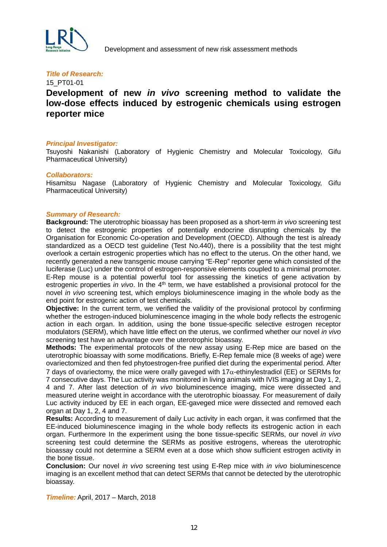

#### 15\_PT01-01

## **Development of new** *in vivo* **screening method to validate the low-dose effects induced by estrogenic chemicals using estrogen reporter mice**

#### *Principal Investigator:*

Tsuyoshi Nakanishi (Laboratory of Hygienic Chemistry and Molecular Toxicology, Gifu Pharmaceutical University)

#### *Collaborators:*

Hisamitsu Nagase (Laboratory of Hygienic Chemistry and Molecular Toxicology, Gifu Pharmaceutical University)

#### *Summary of Research:*

**Background:** The uterotrophic bioassay has been proposed as a short-term *in vivo* screening test to detect the estrogenic properties of potentially endocrine disrupting chemicals by the Organisation for Economic Co-operation and Development (OECD). Although the test is already standardized as a OECD test guideline (Test No.440), there is a possibility that the test might overlook a certain estrogenic properties which has no effect to the uterus. On the other hand, we recently generated a new transgenic mouse carrying "E-Rep" reporter gene which consisted of the luciferase (Luc) under the control of estrogen-responsive elements coupled to a minimal promoter. E-Rep mouse is a potential powerful tool for assessing the kinetics of gene activation by estrogenic properties *in vivo*. In the 4<sup>th</sup> term, we have established a provisional protocol for the novel *in vivo* screening test, which employs bioluminescence imaging in the whole body as the end point for estrogenic action of test chemicals.

**Objective:** In the current term, we verified the validity of the provisional protocol by confirming whether the estrogen-induced bioluminescence imaging in the whole body reflects the estrogenic action in each organ. In addition, using the bone tissue-specific selective estrogen receptor modulators (SERM), which have little effect on the uterus, we confirmed whether our novel *in vivo* screening test have an advantage over the uterotrophic bioassay.

**Methods:** The experimental protocols of the new assay using E-Rep mice are based on the uterotrophic bioassay with some modifications. Briefly, E-Rep female mice (8 weeks of age) were ovariectomized and then fed phytoestrogen-free purified diet during the experimental period. After 7 days of ovariectomy, the mice were orally gaveged with  $17\alpha$ -ethinylestradiol (EE) or SERMs for 7 consecutive days. The Luc activity was monitored in living animals with IVIS imaging at Day 1, 2, 4 and 7. After last detection of *in vivo* bioluminescence imaging, mice were dissected and measured uterine weight in accordance with the uterotrophic bioassay. For measurement of daily Luc activity induced by EE in each organ, EE-gaveged mice were dissected and removed each organ at Day 1, 2, 4 and 7.

**Results:** According to measurement of daily Luc activity in each organ, it was confirmed that the EE-induced bioluminescence imaging in the whole body reflects its estrogenic action in each organ. Furthermore In the experiment using the bone tissue-specific SERMs, our novel *in vivo* screening test could determine the SERMs as positive estrogens, whereas the uterotrophic bioassay could not determine a SERM even at a dose which show sufficient estrogen activity in the bone tissue.

**Conclusion:** Our novel *in vivo* screening test using E-Rep mice with *in vivo* bioluminescence imaging is an excellent method that can detect SERMs that cannot be detected by the uterotrophic bioassay.

*Timeline:* April, 2017 – March, 2018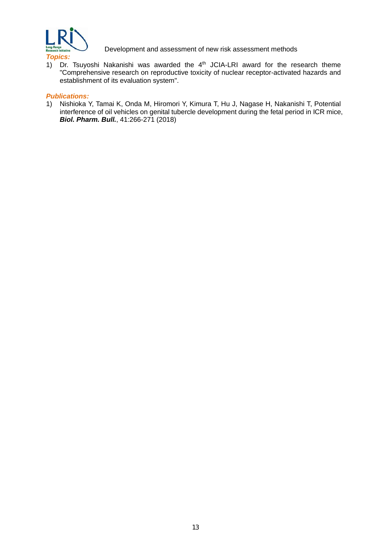

*Topics:* 

1) Dr. Tsuyoshi Nakanishi was awarded the  $4<sup>th</sup>$  JCIA-LRI award for the research theme "Comprehensive research on reproductive toxicity of nuclear receptor-activated hazards and establishment of its evaluation system".

#### *Publications:*

1) Nishioka Y, Tamai K, Onda M, Hiromori Y, Kimura T, Hu J, Nagase H, Nakanishi T, Potential interference of oil vehicles on genital tubercle development during the fetal period in ICR mice, *Biol. Pharm. Bull.*, 41:266-271 (2018)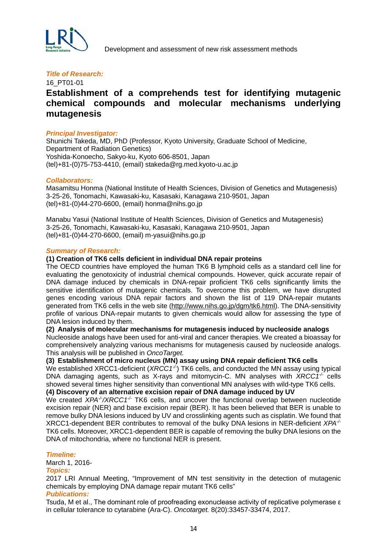

#### *Title of Research:*

## 16\_PT01-01 **Establishment of a comprehends test for identifying mutagenic chemical compounds and molecular mechanisms underlying mutagenesis**

#### *Principal Investigator:*

Shunichi Takeda, MD, PhD (Professor, Kyoto University, Graduate School of Medicine, Department of Radiation Genetics) Yoshida-Konoecho, Sakyo-ku, Kyoto 606-8501, Japan (tel)+81-(0)75-753-4410, (email) stakeda@rg.med.kyoto-u.ac.jp

#### *Collaborators:*

Masamitsu Honma (National Institute of Health Sciences, Division of Genetics and Mutagenesis) 3-25-26, Tonomachi, Kawasaki-ku, Kasasaki, Kanagawa 210-9501, Japan (tel)+81-(0)44-270-6600, (email) honma@nihs.go.jp

Manabu Yasui (National Institute of Health Sciences, Division of Genetics and Mutagenesis) 3-25-26, Tonomachi, Kawasaki-ku, Kasasaki, Kanagawa 210-9501, Japan (tel)+81-(0)44-270-6600, (email) m-yasui@nihs.go.jp

#### *Summary of Research:*

#### **(1) Creation of TK6 cells deficient in individual DNA repair proteins**

The OECD countries have employed the human TK6 B lymphoid cells as a standard cell line for evaluating the genotoxicity of industrial chemical compounds. However, quick accurate repair of DNA damage induced by chemicals in DNA-repair proficient TK6 cells significantly limits the sensitive identification of mutagenic chemicals. To overcome this problem, we have disrupted genes encoding various DNA repair factors and shown the list of 119 DNA-repair mutants generated from TK6 cells in the web site [\(http://www.nihs.go.jp/dgm/tk6.html\)](http://www.nihs.go.jp/dgm/tk6.html). The DNA-sensitivity profile of various DNA-repair mutants to given chemicals would allow for assessing the type of DNA lesion induced by them.

#### **(2) Analysis of molecular mechanisms for mutagenesis induced by nucleoside analogs**

Nucleoside analogs have been used for anti-viral and cancer therapies. We created a bioassay for comprehensively analyzing various mechanisms for mutagenesis caused by nucleoside analogs. This analysis will be published in *OncoTarget.*

#### **(3) Establishment of micro nucleus (MN) assay using DNA repair deficient TK6 cells**

We established XRCC1-deficient (*XRCC1<sup>-/-</sup>*) TK6 cells, and conducted the MN assay using typical DNA damaging agents, such as X-rays and mitomycin-C. MN analyses with *XRCC1-/-* cells showed several times higher sensitivity than conventional MN analyses with wild-type TK6 cells.

**(4) Discovery of an alternative excision repair of DNA damage induced by UV**

We created *XPA<sup>-/</sup>/XRCC1<sup>-/-</sup>* TK6 cells, and uncover the functional overlap between nucleotide excision repair (NER) and base excision repair (BER). It has been believed that BER is unable to remove bulky DNA lesions induced by UV and crosslinking agents such as cisplatin. We found that XRCC1-dependent BER contributes to removal of the bulky DNA lesions in NER-deficient *XPA-/-* TK6 cells. Moreover, XRCC1-dependent BER is capable of removing the bulky DNA lesions on the DNA of mitochondria, where no functional NER is present.

#### *Timeline:*

March 1, 2016-

#### *Topics:*

2017 LRI Annual Meeting, "Improvement of MN test sensitivity in the detection of mutagenic chemicals by employing DNA damage repair mutant TK6 cells"

#### *Publications:*

Tsuda, M et al., The dominant role of proofreading exonuclease activity of replicative polymerase ε in cellular tolerance to cytarabine (Ara-C). *Oncotarget.* 8(20):33457-33474, 2017.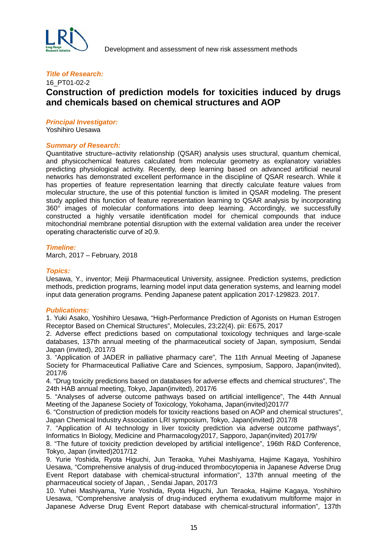

### 16\_PT01-02-2 **Construction of prediction models for toxicities induced by drugs and chemicals based on chemical structures and AOP**

#### *Principal Investigator:*

Yoshihiro Uesawa

#### *Summary of Research:*

Quantitative structure–activity relationship (QSAR) analysis uses structural, quantum chemical, and physicochemical features calculated from molecular geometry as explanatory variables predicting physiological activity. Recently, deep learning based on advanced artificial neural networks has demonstrated excellent performance in the discipline of QSAR research. While it has properties of feature representation learning that directly calculate feature values from molecular structure, the use of this potential function is limited in QSAR modeling. The present study applied this function of feature representation learning to QSAR analysis by incorporating 360° images of molecular conformations into deep learning. Accordingly, we successfully constructed a highly versatile identification model for chemical compounds that induce mitochondrial membrane potential disruption with the external validation area under the receiver operating characteristic curve of ≥0.9.

#### *Timeline:*

March, 2017 – February, 2018

#### *Topics:*

Uesawa, Y., inventor; Meiji Pharmaceutical University, assignee. Prediction systems, prediction methods, prediction programs, learning model input data generation systems, and learning model input data generation programs. Pending Japanese patent application 2017-129823. 2017.

#### *Publications:*

1. Yuki Asako, Yoshihiro Uesawa, "High-Performance Prediction of Agonists on Human Estrogen Receptor Based on Chemical Structures", Molecules, 23;22(4). pii: E675, 2017

2. Adverse effect predictions based on computational toxicology techniques and large-scale databases, 137th annual meeting of the pharmaceutical society of Japan, symposium, Sendai Japan (invited), 2017/3

3. "Application of JADER in palliative pharmacy care", The 11th Annual Meeting of Japanese Society for Pharmaceutical Palliative Care and Sciences, symposium, Sapporo, Japan(invited), 2017/6

4. "Drug toxicity predictions based on databases for adverse effects and chemical structures", The 24th HAB annual meeting, Tokyo, Japan(invited), 2017/6

5. "Analyses of adverse outcome pathways based on artificial intelligence", The 44th Annual Meeting of the Japanese Society of Toxicology, Yokohama, Japan(invited)2017/7

6. "Construction of prediction models for toxicity reactions based on AOP and chemical structures", Japan Chemical Industry Association LRI symposium, Tokyo, Japan(invited) 2017/8

7. "Application of AI technology in liver toxicity prediction via adverse outcome pathways", Informatics In Biology, Medicine and Pharmacology2017, Sapporo, Japan(invited) 2017/9/

8. "The future of toxicity prediction developed by artificial intelligence", 196th R&D Conference, Tokyo, Japan (invited)2017/12

9. Yurie Yoshida, Ryota Higuchi, Jun Teraoka, Yuhei Mashiyama, Hajime Kagaya, Yoshihiro Uesawa, "Comprehensive analysis of drug-induced thrombocytopenia in Japanese Adverse Drug Event Report database with chemical-structural information", 137th annual meeting of the pharmaceutical society of Japan, , Sendai Japan, 2017/3

10. Yuhei Mashiyama, Yurie Yoshida, Ryota Higuchi, Jun Teraoka, Hajime Kagaya, Yoshihiro Uesawa, "Comprehensive analysis of drug-induced erythema exudativum multiforme major in Japanese Adverse Drug Event Report database with chemical-structural information", 137th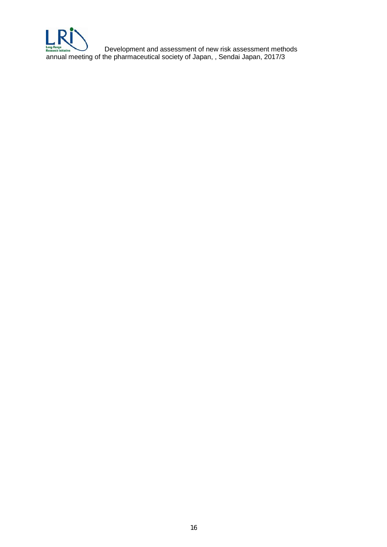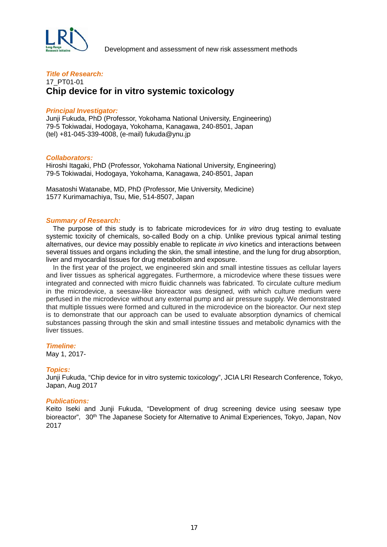

#### *Title of Research:* 17\_PT01-01 **Chip device for in vitro systemic toxicology**

#### *Principal Investigator:*

Junji Fukuda, PhD (Professor, Yokohama National University, Engineering) 79-5 Tokiwadai, Hodogaya, Yokohama, Kanagawa, 240-8501, Japan (tel) +81-045-339-4008, (e-mail) fukuda@ynu.jp

#### *Collaborators:*

Hiroshi Itagaki, PhD (Professor, Yokohama National University, Engineering) 79-5 Tokiwadai, Hodogaya, Yokohama, Kanagawa, 240-8501, Japan

Masatoshi Watanabe, MD, PhD (Professor, Mie University, Medicine) 1577 Kurimamachiya, Tsu, Mie, 514-8507, Japan

#### *Summary of Research:*

The purpose of this study is to fabricate microdevices for *in vitro* drug testing to evaluate systemic toxicity of chemicals, so-called Body on a chip. Unlike previous typical animal testing alternatives, our device may possibly enable to replicate *in vivo* kinetics and interactions between several tissues and organs including the skin, the small intestine, and the lung for drug absorption, liver and myocardial tissues for drug metabolism and exposure.

In the first year of the project, we engineered skin and small intestine tissues as cellular layers and liver tissues as spherical aggregates. Furthermore, a microdevice where these tissues were integrated and connected with micro fluidic channels was fabricated. To circulate culture medium in the microdevice, a seesaw-like bioreactor was designed, with which culture medium were perfused in the microdevice without any external pump and air pressure supply. We demonstrated that multiple tissues were formed and cultured in the microdevice on the bioreactor. Our next step is to demonstrate that our approach can be used to evaluate absorption dynamics of chemical substances passing through the skin and small intestine tissues and metabolic dynamics with the liver tissues.

#### *Timeline:*

May 1, 2017-

#### *Topics:*

Junji Fukuda, "Chip device for in vitro systemic toxicology", JCIA LRI Research Conference, Tokyo, Japan, Aug 2017

#### *Publications:*

Keito Iseki and Junji Fukuda, "Development of drug screening device using seesaw type bioreactor", 30<sup>th</sup> The Japanese Society for Alternative to Animal Experiences, Tokyo, Japan, Nov 2017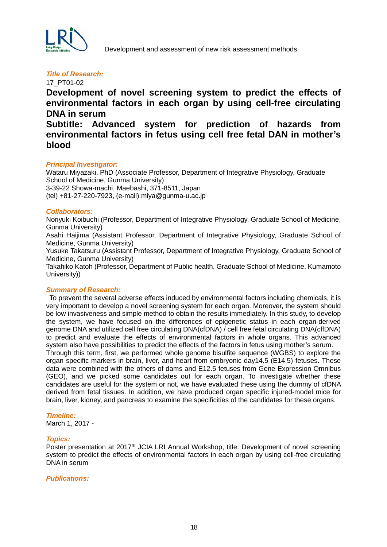

17\_PT01-02

**Development of novel screening system to predict the effects of environmental factors in each organ by using cell-free circulating DNA in serum**

**Subtitle: Advanced system for prediction of hazards from environmental factors in fetus using cell free fetal DAN in mother's blood**

#### *Principal Investigator:*

Wataru Miyazaki, PhD (Associate Professor, Department of Integrative Physiology, Graduate School of Medicine, Gunma University) 3-39-22 Showa-machi, Maebashi, 371-8511, Japan (tel) +81-27-220-7923, (e-mail) miya@gunma-u.ac.jp

#### *Collaborators:*

Noriyuki Koibuchi (Professor, Department of Integrative Physiology, Graduate School of Medicine, Gunma University)

Asahi Haijima (Assistant Professor, Department of Integrative Physiology, Graduate School of Medicine, Gunma University)

Yusuke Takatsuru (Assistant Professor, Department of Integrative Physiology, Graduate School of Medicine, Gunma University)

Takahiko Katoh (Professor, Department of Public health, Graduate School of Medicine, Kumamoto University))

#### *Summary of Research:*

To prevent the several adverse effects induced by environmental factors including chemicals, it is very important to develop a novel screening system for each organ. Moreover, the system should be low invasiveness and simple method to obtain the results immediately. In this study, to develop the system, we have focused on the differences of epigenetic status in each organ-derived genome DNA and utilized cell free circulating DNA(cfDNA) / cell free fetal circulating DNA(cffDNA) to predict and evaluate the effects of environmental factors in whole organs. This advanced system also have possibilities to predict the effects of the factors in fetus using mother's serum. Through this term, first, we performed whole genome bisulfite sequence (WGBS) to explore the organ specific markers in brain, liver, and heart from embryonic day14.5 (E14.5) fetuses. These data were combined with the others of dams and E12.5 fetuses from Gene Expression Omnibus (GEO), and we picked some candidates out for each organ. To investigate whether these candidates are useful for the system or not, we have evaluated these using the dummy of cfDNA derived from fetal tissues. In addition, we have produced organ specific injured-model mice for brain, liver, kidney, and pancreas to examine the specificities of the candidates for these organs.

#### *Timeline:*

March 1, 2017 -

#### *Topics:*

Poster presentation at 2017<sup>th</sup> JCIA LRI Annual Workshop, title: Development of novel screening system to predict the effects of environmental factors in each organ by using cell-free circulating DNA in serum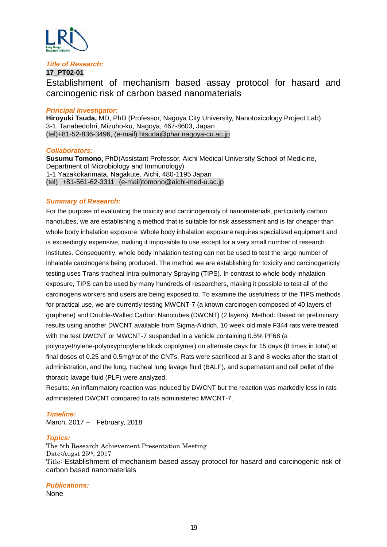

#### **17\_PT02-01**

Establishment of mechanism based assay protocol for hasard and carcinogenic risk of carbon based nanomaterials

#### *Principal Investigator:*

**Hiroyuki Tsuda,** MD, PhD (Professor, Nagoya City University, Nanotoxicology Project Lab) 3-1, Tanabedohri, Mizuho-ku, Nagoya, 467-8603, Japan (tel)+81-52-836-3496, (e-mail) [htsuda@phar.nagoya-cu.ac.jp](mailto:htsuda@phar.nagoya-cu.ac.jp)

#### *Collaborators:*

**Susumu Tomono,** PhD(Assistant Professor, Aichi Medical University School of Medicine, Department of Microbiology and Immunology) 1-1 Yazakokarimata, Nagakute, Aichi, 480-1195 Japan (tel) +81-561-62-3311 (e-mail)tomono@aichi-med-u.ac.jp

#### *Summary of Research:*

For the purpose of evaluating the toxicity and carcinogenicity of nanomaterials, particularly carbon nanotubes, we are establishing a method that is suitable for risk assessment and is far cheaper than whole body inhalation exposure. Whole body inhalation exposure requires specialized equipment and is exceedingly expensive, making it impossible to use except for a very small number of research institutes. Consequently, whole body inhalation testing can not be used to test the large number of inhalable carcinogens being produced. The method we are establishing for toxicity and carcinogenicity testing uses Trans-tracheal Intra-pulmonary Spraying (TIPS). In contrast to whole body inhalation exposure, TIPS can be used by many hundreds of researchers, making it possible to test all of the carcinogens workers and users are being exposed to. To examine the usefulness of the TIPS methods for practical use, we are currently testing MWCNT-7 (a known carcinogen composed of 40 layers of graphene) and Double-Walled Carbon Nanotubes (DWCNT) (2 layers). Method: Based on preliminary results using another DWCNT available from Sigma-Aldrich, 10 week old male F344 rats were treated with the test DWCNT or MWCNT-7 suspended in a vehicle containing 0.5% PF68 (a polyoxyethylene-polyoxypropylene block copolymer) on alternate days for 15 days (8 times in total) at final doses of 0.25 and 0.5mg/rat of the CNTs. Rats were sacrificed at 3 and 8 weeks after the start of administration, and the lung, tracheal lung lavage fluid (BALF), and supernatant and cell pellet of the thoracic lavage fluid (PLF) were analyzed.

Results: An inflammatory reaction was induced by DWCNT but the reaction was markedly less in rats administered DWCNT compared to rats administered MWCNT-7.

#### *Timeline:*

March, 2017 – February, 2018

#### *Topics:*

The 5th Research Achievement Presentation Meeting Date:Augst 25th, 2017 Title: Establishment of mechanism based assay protocol for hasard and carcinogenic risk of carbon based nanomaterials

#### *Publications:*

None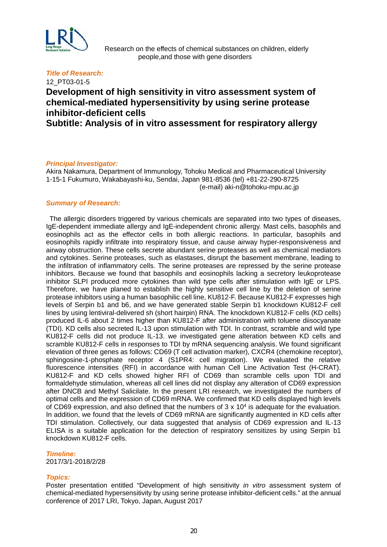

 Research on the effects of chemical substances on children, elderly people,and those with gene disorders

#### *Title of Research:*

## 12\_PT03-01-5 **Development of high sensitivity in vitro assessment system of chemical-mediated hypersensitivity by using serine protease inhibitor-deficient cells**

**Subtitle: Analysis of in vitro assessment for respiratory allergy**

#### *Principal Investigator:*

Akira Nakamura, Department of Immunology, Tohoku Medical and Pharmaceutical University 1-15-1 Fukumuro, Wakabayashi-ku, Sendai, Japan 981-8536 (tel) +81-22-290-8725 (e-mail) aki-n@tohoku-mpu.ac.jp

#### *Summary of Research:*

The allergic disorders triggered by various chemicals are separated into two types of diseases, IgE-dependent immediate allergy and IgE-independent chronic allergy. Mast cells, basophils and eosinophils act as the effector cells in both allergic reactions. In particular, basophils and eosinophils rapidly infiltrate into respiratory tissue, and cause airway hyper-responsiveness and airway obstruction. These cells secrete abundant serine proteases as well as chemical mediators and cytokines. Serine proteases, such as elastases, disrupt the basement membrane, leading to the infiltration of inflammatory cells. The serine proteases are repressed by the serine protease inhibitors. Because we found that basophils and eosinophils lacking a secretory leukoprotease inhibitor SLPI produced more cytokines than wild type cells after stimulation with IgE or LPS. Therefore, we have planed to establish the highly sensitive cell line by the deletion of serine protease inhibitors using a human basophilic cell line, KU812-F. Because KU812-F expresses high levels of Serpin b1 and b6, and we have generated stable Serpin b1 knockdown KU812-F cell lines by using lentiviral-delivered sh (short hairpin) RNA. The knockdown KU812-F cells (KD cells) produced IL-6 about 2 times higher than KU812-F after administration with toluene diisocyanate (TDI). KD cells also secreted IL-13 upon stimulation with TDI. In contrast, scramble and wild type KU812-F cells did not produce IL-13. we investigated gene alteration between KD cells and scramble KU812-F cells in responses to TDI by mRNA sequencing analysis. We found significant elevation of three genes as follows: CD69 (T cell activation marker), CXCR4 (chemokine receptor), sphingosine-1-phosphate receptor 4 (S1PR4: cell migration). We evaluated the relative fluorescence intensities (RFI) in accordance with human Cell Line Activation Test (H-CRAT). KU812-F and KD cells showed higher RFI of CD69 than scramble cells upon TDI and formaldehyde stimulation, whereas all cell lines did not display any alteration of CD69 expression after DNCB and Methyl Salicilate. In the present LRI research, we investigated the numbers of optimal cells and the expression of CD69 mRNA. We confirmed that KD cells displayed high levels of CD69 expression, and also defined that the numbers of  $3 \times 10^4$  is adequate for the evaluation. In addition, we found that the levels of CD69 mRNA are significantly augmented in KD cells after TDI stimulation. Collectively, our data suggested that analysis of CD69 expression and IL-13 ELISA is a suitable application for the detection of respiratory sensitizes by using Serpin b1 knockdown KU812-F cells.

#### *Timeline:*

2017/3/1-2018/2/28

#### *Topics:*

Poster presentation entitled "Development of high sensitivity *in vitro* assessment system of chemical-mediated hypersensitivity by using serine protease inhibitor-deficient cells." at the annual conference of 2017 LRI, Tokyo, Japan, August 2017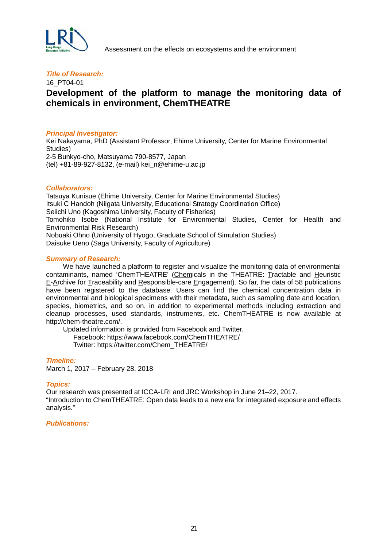

Assessment on the effects on ecosystems and the environment

#### *Title of Research:*

#### 16\_PT04-01

## **Development of the platform to manage the monitoring data of chemicals in environment, ChemTHEATRE**

#### *Principal Investigator:*

Kei Nakayama, PhD (Assistant Professor, Ehime University, Center for Marine Environmental Studies) 2-5 Bunkyo-cho, Matsuyama 790-8577, Japan (tel) +81-89-927-8132, (e-mail) kei\_n@ehime-u.ac.jp

#### *Collaborators:*

Tatsuya Kunisue (Ehime University, Center for Marine Environmental Studies) Itsuki C Handoh (Niigata University, Educational Strategy Coordination Office) Seiichi Uno (Kagoshima University, Faculty of Fisheries) Tomohiko Isobe (National Institute for Environmental Studies, Center for Health and Environmental Risk Research) Nobuaki Ohno (University of Hyogo, Graduate School of Simulation Studies) Daisuke Ueno (Saga University, Faculty of Agriculture)

#### *Summary of Research:*

 We have launched a platform to register and visualize the monitoring data of environmental contaminants, named 'ChemTHEATRE' (Chemicals in the THEATRE: Tractable and Heuristic E-Archive for Traceability and Responsible-care Engagement). So far, the data of 58 publications have been registered to the database. Users can find the chemical concentration data in environmental and biological specimens with their metadata, such as sampling date and location, species, biometrics, and so on, in addition to experimental methods including extraction and cleanup processes, used standards, instruments, etc. ChemTHEATRE is now available at http://chem-theatre.com/.

 Updated information is provided from Facebook and Twitter. Facebook: https://www.facebook.com/ChemTHEATRE/ Twitter: https://twitter.com/Chem\_THEATRE/

*Timeline:* March 1, 2017 – February 28, 2018

#### *Topics:*

Our research was presented at ICCA-LRI and JRC Workshop in June 21–22, 2017. "Introduction to ChemTHEATRE: Open data leads to a new era for integrated exposure and effects analysis."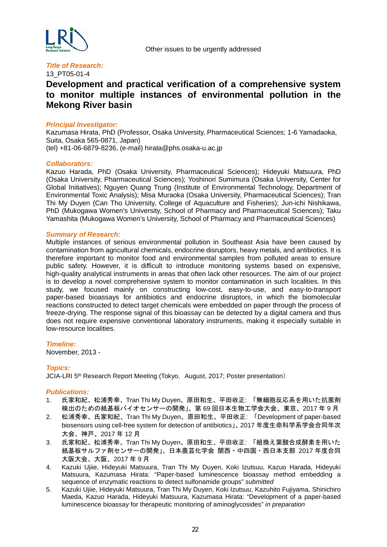

13\_PT05-01-4

## **Development and practical verification of a comprehensive system to monitor multiple instances of environmental pollution in the Mekong River basin**

#### *Principal Investigator:*

Kazumasa Hirata, PhD (Professor, Osaka University, Pharmaceutical Sciences; 1-6 Yamadaoka, Suita, Osaka 565-0871, Japan) (tel) +81-06-6879-8236, (e-mail) hirata@phs.osaka-u.ac.jp

#### *Collaborators:*

Kazuo Harada, PhD (Osaka University, Pharmaceutical Sciences); Hideyuki Matsuura, PhD (Osaka University, Pharmaceutical Sciences); Yoshinori Sumimura (Osaka University, Center for Global Initiatives); Nguyen Quang Trung (Institute of Environmental Technology, Department of Environmental Toxic Analysis); Misa Muraoka (Osaka University, Pharmaceutical Sciences); Tran Thi My Duyen (Can Tho University, College of Aquaculture and Fisheries); Jun-ichi Nishikawa, PhD (Mukogawa Women's University, School of Pharmacy and Pharmaceutical Sciences); Taku Yamashita (Mukogawa Women's University, School of Pharmacy and Pharmaceutical Sciences)

#### *Summary of Research:*

Multiple instances of serious environmental pollution in Southeast Asia have been caused by contamination from agricultural chemicals, endocrine disruptors, heavy metals, and antibiotics. It is therefore important to monitor food and environmental samples from polluted areas to ensure public safety. However, it is difficult to introduce monitoring systems based on expensive, high-quality analytical instruments in areas that often lack other resources. The aim of our project is to develop a novel comprehensive system to monitor contamination in such localities. In this study, we focused mainly on constructing low-cost, easy-to-use, and easy-to-transport paper-based bioassays for antibiotics and endocrine disruptors, in which the biomolecular reactions constructed to detect target chemicals were embedded on paper through the process of freeze-drying. The response signal of this bioassay can be detected by a digital camera and thus does not require expensive conventional laboratory instruments, making it especially suitable in low-resource localities.

#### *Timeline:*

November, 2013 -

#### *Topics:*

JCIA-LRI 5<sup>th</sup> Research Report Meeting (Tokyo, August, 2017; Poster presentation)

- 1. 氏家和紀、松浦秀幸、Tran Thi My Duyen、原田和生、平田收正: 「無細胞反応系を用いた抗菌剤 検出のための紙基板バイオセンサーの開発」、第 69 回日本生物工学会大会、東京、2017 年 9 月
- 2. 松浦秀幸、氏家和紀、Tran Thi My Duyen、原田和生、平田收正: 「Development of paper-based biosensors using cell-free system for detection of antibiotics」、2017 年度生命科学系学会合同年次 大会、神戸、2017 年 12 月
- 3. 氏家和紀、松浦秀幸、Tran Thi My Duyen、原田和生、平田收正: 「組換え葉酸合成酵素を用いた 紙基板サルファ剤センサーの開発」、日本農芸化学会 関西・中四国・西日本支部 2017 年度合同 大阪大会、大阪、2017 年 9 月
- 4. Kazuki Ujiie, Hideyuki Matsuura, Tran Thi My Duyen, Koki Izutsuu, Kazuo Harada, Hideyuki Matsuura, Kazumasa Hirata: "Paper-based luminescence bioassay method embedding a sequence of enzymatic reactions to detect sulfonamide groups" *submitted*
- 5. Kazuki Ujiie, Hideyuki Matsuura, Tran Thi My Duyen, Koki Izutsuu, Kazuhito Fujiyama, Shinichiro Maeda, Kazuo Harada, Hideyuki Matsuura, Kazumasa Hirata: "Development of a paper-based luminescence bioassay for therapeutic monitoring of aminoglycosides" *in preparation*